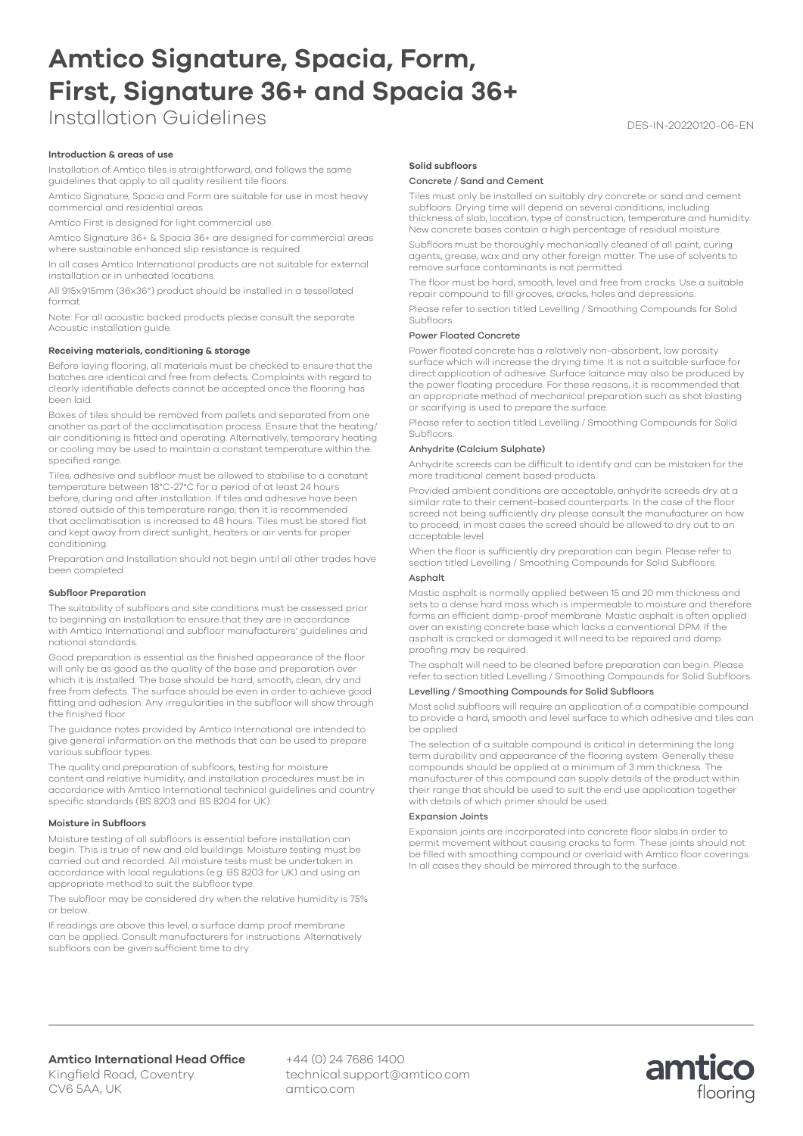# **Amtico Signature, Spacia, Form, First, Signature 36+ and Spacia 36+**

Installation Guidelines and the contract of the DES-IN-20220120-06-EN

# **Introduction & areas of use**

Installation of Amtico tiles is straightforward, and follows the same guidelines that apply to all quality resilient tile floors.

Amtico Signature, Spacia and Form are suitable for use in most heavy commercial and residential areas.

Amtico First is designed for light commercial use.

Amtico Signature 36+ & Spacia 36+ are designed for commercial areas where sustainable enhanced slip resistance is required.

In all cases Amtico International products are not suitable for external installation or in unheated locations.

All 915x915mm (36x36") product should be installed in a tessellated format

Note: For all acoustic backed products please consult the separate Acoustic installation guide.

## **Receiving materials, conditioning & storage**

Before laying flooring, all materials must be checked to ensure that the batches are identical and free from defects. Complaints with regard to clearly identifiable defects cannot be accepted once the flooring has been laid.

Boxes of tiles should be removed from pallets and separated from one another as part of the acclimatisation process. Ensure that the heating/ air conditioning is fitted and operating. Alternatively, temporary heating or cooling may be used to maintain a constant temperature within the specified range.

Tiles, adhesive and subfloor must be allowed to stabilise to a constant temperature between 18°C-27°C for a period of at least 24 hours before, during and after installation. If tiles and adhesive have been stored outside of this temperature range, then it is recommended that acclimatisation is increased to 48 hours. Tiles must be stored flat and kept away from direct sunlight, heaters or air vents for proper conditioning.

Preparation and Installation should not begin until all other trades have been completed.

#### **Subfloor Preparation**

The suitability of subfloors and site conditions must be assessed prior to beginning an installation to ensure that they are in accordance with Amtico International and subfloor manufacturers' guidelines and national standards.

Good preparation is essential as the finished appearance of the floor will only be as good as the quality of the base and preparation over which it is installed. The base should be hard, smooth, clean, dry and free from defects. The surface should be even in order to achieve good fitting and adhesion. Any irregularities in the subfloor will show through the finished floor.

The guidance notes provided by Amtico International are intended to give general information on the methods that can be used to prepare various subfloor types.

The quality and preparation of subfloors, testing for moisture content and relative humidity, and installation procedures must be in accordance with Amtico International technical guidelines and country specific standards (BS 8203 and BS 8204 for UK).

#### **Moisture in Subfloors**

Moisture testing of all subfloors is essential before installation can begin. This is true of new and old buildings. Moisture testing must be carried out and recorded. All moisture tests must be undertaken in accordance with local regulations (e.g. BS 8203 for UK) and using an appropriate method to suit the subfloor type.

The subfloor may be considered dry when the relative humidity is 75% or below.

If readings are above this level, a surface damp proof membrane can be applied. Consult manufacturers for instructions. Alternatively subfloors can be given sufficient time to dry.

# **Solid subfloors**

#### Concrete / Sand and Cement

Tiles must only be installed on suitably dry concrete or sand and cement subfloors. Drying time will depend on several conditions, including thickness of slab, location, type of construction, temperature and humidity. New concrete bases contain a high percentage of residual moisture.

Subfloors must be thoroughly mechanically cleaned of all paint, curing agents, grease, wax and any other foreign matter. The use of solvents to remove surface contaminants is not permitted.

The floor must be hard, smooth, level and free from cracks. Use a suitable repair compound to fill grooves, cracks, holes and depressions.

Please refer to section titled Levelling / Smoothing Compounds for Solid Subfloors.

## Power Floated Concrete

Power floated concrete has a relatively non-absorbent, low porosity surface which will increase the drying time. It is not a suitable surface for direct application of adhesive. Surface laitance may also be produced by the power floating procedure. For these reasons, it is recommended that an appropriate method of mechanical preparation such as shot blasting or scarifying is used to prepare the surface.

Please refer to section titled Levelling / Smoothing Compounds for Solid Subfloors.

# Anhydrite (Calcium Sulphate)

Anhydrite screeds can be difficult to identify and can be mistaken for the more traditional cement based products.

Provided ambient conditions are acceptable, anhydrite screeds dry at a similar rate to their cement-based counterparts. In the case of the floor screed not being sufficiently dry please consult the manufacturer on how to proceed, in most cases the screed should be allowed to dry out to an acceptable level.

When the floor is sufficiently dry preparation can begin. Please refer to section titled Levelling / Smoothing Compounds for Solid Subfloors.

# Asphalt

Mastic asphalt is normally applied between 15 and 20 mm thickness and sets to a dense hard mass which is impermeable to moisture and therefore forms an efficient damp-proof membrane. Mastic asphalt is often applied over an existing concrete base which lacks a conventional DPM. If the asphalt is cracked or damaged it will need to be repaired and damp proofing may be required.

The asphalt will need to be cleaned before preparation can begin. Please refer to section titled Levelling / Smoothing Compounds for Solid Subfloors.

# Levelling / Smoothing Compounds for Solid Subfloors

Most solid subfloors will require an application of a compatible compound to provide a hard, smooth and level surface to which adhesive and tiles can be applied.

The selection of a suitable compound is critical in determining the long term durability and appearance of the flooring system. Generally these compounds should be applied at a minimum of 3 mm thickness. The manufacturer of this compound can supply details of the product within their range that should be used to suit the end use application together with details of which primer should be used.

### Expansion Joints

Expansion joints are incorporated into concrete floor slabs in order to permit movement without causing cracks to form. These joints should not be filled with smoothing compound or overlaid with Amtico floor coverings. In all cases they should be mirrored through to the surface.

CV6 5AA, UK

+44 (0) 24 7686 1400 technical.support@amtico.com amtico.com

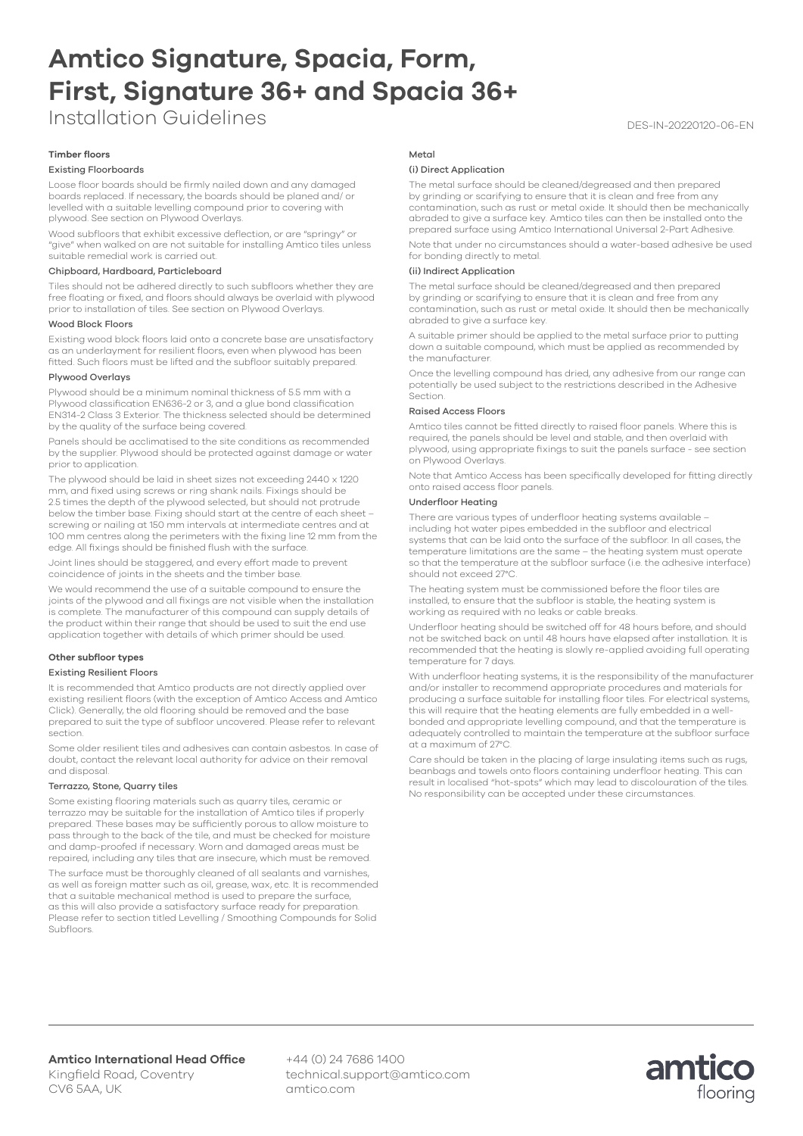# **Amtico Signature, Spacia, Form, First, Signature 36+ and Spacia 36+**

Installation Guidelines and the contract of the DES-IN-20220120-06-EN

# **Timber floors**

# Existing Floorboards

Loose floor boards should be firmly nailed down and any damaged boards replaced. If necessary, the boards should be planed and/ or levelled with a suitable levelling compound prior to covering with plywood. See section on Plywood Overlays.

Wood subfloors that exhibit excessive deflection, or are "springy" or "give" when walked on are not suitable for installing Amtico tiles unless suitable remedial work is carried out.

#### Chipboard, Hardboard, Particleboard

Tiles should not be adhered directly to such subfloors whether they are free floating or fixed, and floors should always be overlaid with plywood prior to installation of tiles. See section on Plywood Overlays.

#### Wood Block Floors

Existing wood block floors laid onto a concrete base are unsatisfactory as an underlayment for resilient floors, even when plywood has been fitted. Such floors must be lifted and the subfloor suitably prepared.

# Plywood Overlays

Plywood should be a minimum nominal thickness of 5.5 mm with a Plywood classification EN636-2 or 3, and a glue bond classification EN314-2 Class 3 Exterior. The thickness selected should be determined by the quality of the surface being covered.

Panels should be acclimatised to the site conditions as recommended by the supplier. Plywood should be protected against damage or water prior to application.

The plywood should be laid in sheet sizes not exceeding 2440 x 1220 mm, and fixed using screws or ring shank nails. Fixings should be 2.5 times the depth of the plywood selected, but should not protrude below the timber base. Fixing should start at the centre of each sheet – screwing or nailing at 150 mm intervals at intermediate centres and at 100 mm centres along the perimeters with the fixing line 12 mm from the edge. All fixings should be finished flush with the surface.

Joint lines should be staggered, and every effort made to prevent coincidence of joints in the sheets and the timber base.

We would recommend the use of a suitable compound to ensure the joints of the plywood and all fixings are not visible when the installation is complete. The manufacturer of this compound can supply details of the product within their range that should be used to suit the end use application together with details of which primer should be used.

# **Other subfloor types**

#### Existing Resilient Floors

It is recommended that Amtico products are not directly applied over existing resilient floors (with the exception of Amtico Access and Amtico Click). Generally, the old flooring should be removed and the base prepared to suit the type of subfloor uncovered. Please refer to relevant section.

Some older resilient tiles and adhesives can contain asbestos. In case of doubt, contact the relevant local authority for advice on their removal and disposal.

# Terrazzo, Stone, Quarry tiles

Some existing flooring materials such as quarry tiles, ceramic or terrazzo may be suitable for the installation of Amtico tiles if properly prepared. These bases may be sufficiently porous to allow moisture to pass through to the back of the tile, and must be checked for moisture and damp-proofed if necessary. Worn and damaged areas must be repaired, including any tiles that are insecure, which must be removed.

The surface must be thoroughly cleaned of all sealants and varnishes, as well as foreign matter such as oil, grease, wax, etc. It is recommended that a suitable mechanical method is used to prepare the surface, as this will also provide a satisfactory surface ready for preparation. Please refer to section titled Levelling / Smoothing Compounds for Solid Subfloors.

## Metal

# (i) Direct Application

The metal surface should be cleaned/degreased and then prepared by grinding or scarifying to ensure that it is clean and free from any contamination, such as rust or metal oxide. It should then be mechanically abraded to give a surface key. Amtico tiles can then be installed onto the prepared surface using Amtico International Universal 2-Part Adhesive.

Note that under no circumstances should a water-based adhesive be used for bonding directly to metal.

## (ii) Indirect Application

The metal surface should be cleaned/degreased and then prepared by grinding or scarifying to ensure that it is clean and free from any contamination, such as rust or metal oxide. It should then be mechanically abraded to give a surface key.

A suitable primer should be applied to the metal surface prior to putting down a suitable compound, which must be applied as recommended by the manufacturer.

Once the levelling compound has dried, any adhesive from our range can potentially be used subject to the restrictions described in the Adhesive Section.

#### Raised Access Floors

Amtico tiles cannot be fitted directly to raised floor panels. Where this is required, the panels should be level and stable, and then overlaid with plywood, using appropriate fixings to suit the panels surface - see section on Plywood Overlays.

Note that Amtico Access has been specifically developed for fitting directly onto raised access floor panels.

# Underfloor Heating

There are various types of underfloor heating systems available – including hot water pipes embedded in the subfloor and electrical systems that can be laid onto the surface of the subfloor. In all cases, the temperature limitations are the same – the heating system must operate so that the temperature at the subfloor surface (i.e. the adhesive interface) should not exceed 27°C.

The heating system must be commissioned before the floor tiles are installed, to ensure that the subfloor is stable, the heating system is working as required with no leaks or cable breaks

Underfloor heating should be switched off for 48 hours before, and should not be switched back on until 48 hours have elapsed after installation. It is recommended that the heating is slowly re-applied avoiding full operating temperature for 7 days.

With underfloor heating systems, it is the responsibility of the manufacturer and/or installer to recommend appropriate procedures and materials for producing a surface suitable for installing floor tiles. For electrical systems, this will require that the heating elements are fully embedded in a wellbonded and appropriate levelling compound, and that the temperature is adequately controlled to maintain the temperature at the subfloor surface at a maximum of 27°C.

Care should be taken in the placing of large insulating items such as rugs, beanbags and towels onto floors containing underfloor heating. This can result in localised "hot-spots" which may lead to discolouration of the tiles. No responsibility can be accepted under these circumstances.

+44 (0) 24 7686 1400 technical.support@amtico.com amtico.com